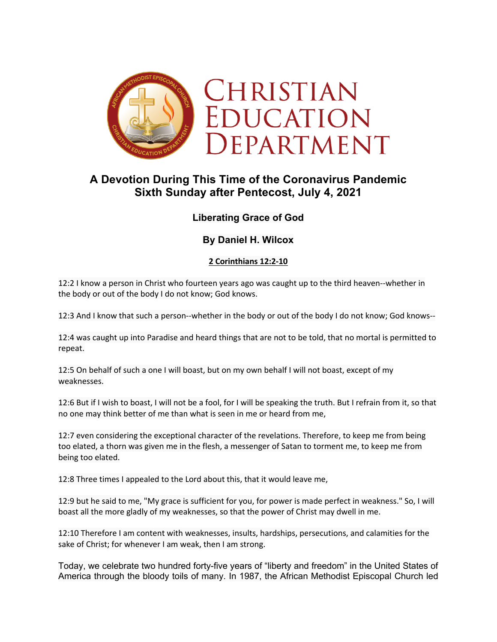

# **A Devotion During This Time of the Coronavirus Pandemic Sixth Sunday after Pentecost, July 4, 2021**

# **Liberating Grace of God**

# **By Daniel H. Wilcox**

## **2 Corinthians 12:2-10**

12:2 I know a person in Christ who fourteen years ago was caught up to the third heaven--whether in the body or out of the body I do not know; God knows.

12:3 And I know that such a person--whether in the body or out of the body I do not know; God knows--

12:4 was caught up into Paradise and heard things that are not to be told, that no mortal is permitted to repeat.

12:5 On behalf of such a one I will boast, but on my own behalf I will not boast, except of my weaknesses.

12:6 But if I wish to boast, I will not be a fool, for I will be speaking the truth. But I refrain from it, so that no one may think better of me than what is seen in me or heard from me,

12:7 even considering the exceptional character of the revelations. Therefore, to keep me from being too elated, a thorn was given me in the flesh, a messenger of Satan to torment me, to keep me from being too elated.

12:8 Three times I appealed to the Lord about this, that it would leave me,

12:9 but he said to me, "My grace is sufficient for you, for power is made perfect in weakness." So, I will boast all the more gladly of my weaknesses, so that the power of Christ may dwell in me.

12:10 Therefore I am content with weaknesses, insults, hardships, persecutions, and calamities for the sake of Christ; for whenever I am weak, then I am strong.

Today, we celebrate two hundred forty-five years of "liberty and freedom" in the United States of America through the bloody toils of many. In 1987, the African Methodist Episcopal Church led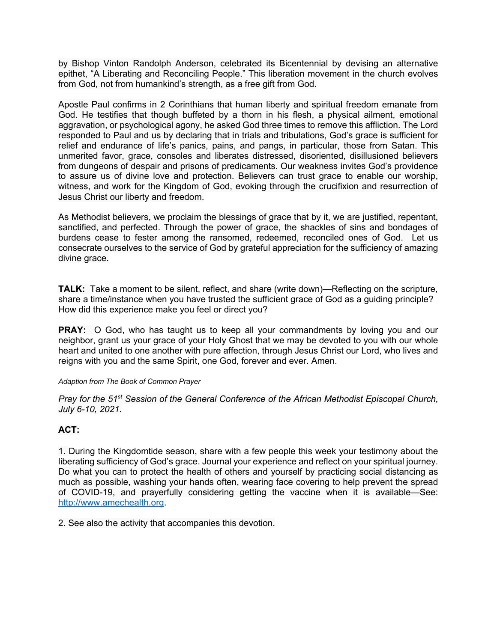by Bishop Vinton Randolph Anderson, celebrated its Bicentennial by devising an alternative epithet, "A Liberating and Reconciling People." This liberation movement in the church evolves from God, not from humankind's strength, as a free gift from God.

Apostle Paul confirms in 2 Corinthians that human liberty and spiritual freedom emanate from God. He testifies that though buffeted by a thorn in his flesh, a physical ailment, emotional aggravation, or psychological agony, he asked God three times to remove this affliction. The Lord responded to Paul and us by declaring that in trials and tribulations, God's grace is sufficient for relief and endurance of life's panics, pains, and pangs, in particular, those from Satan. This unmerited favor, grace, consoles and liberates distressed, disoriented, disillusioned believers from dungeons of despair and prisons of predicaments. Our weakness invites God's providence to assure us of divine love and protection. Believers can trust grace to enable our worship, witness, and work for the Kingdom of God, evoking through the crucifixion and resurrection of Jesus Christ our liberty and freedom.

As Methodist believers, we proclaim the blessings of grace that by it, we are justified, repentant, sanctified, and perfected. Through the power of grace, the shackles of sins and bondages of burdens cease to fester among the ransomed, redeemed, reconciled ones of God. Let us consecrate ourselves to the service of God by grateful appreciation for the sufficiency of amazing divine grace.

**TALK:** Take a moment to be silent, reflect, and share (write down)—Reflecting on the scripture, share a time/instance when you have trusted the sufficient grace of God as a guiding principle? How did this experience make you feel or direct you?

**PRAY:** O God, who has taught us to keep all your commandments by loving you and our neighbor, grant us your grace of your Holy Ghost that we may be devoted to you with our whole heart and united to one another with pure affection, through Jesus Christ our Lord, who lives and reigns with you and the same Spirit, one God, forever and ever. Amen.

#### *Adaption from The Book of Common Prayer*

*Pray for the 51st Session of the General Conference of the African Methodist Episcopal Church, July 6-10, 2021.*

# **ACT:**

1. During the Kingdomtide season, share with a few people this week your testimony about the liberating sufficiency of God's grace. Journal your experience and reflect on your spiritual journey. Do what you can to protect the health of others and yourself by practicing social distancing as much as possible, washing your hands often, wearing face covering to help prevent the spread of COVID-19, and prayerfully considering getting the vaccine when it is available—See: http://www.amechealth.org.

2. See also the activity that accompanies this devotion.